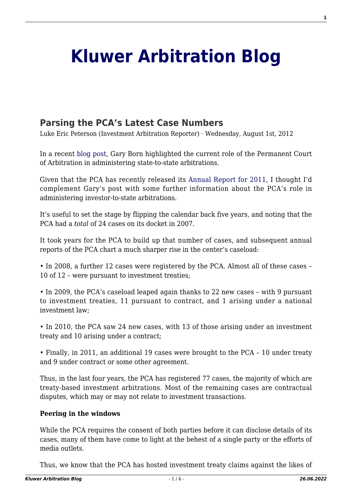# **[Kluwer Arbitration Blog](http://arbitrationblog.kluwerarbitration.com/)**

# **[Parsing the PCA's Latest Case Numbers](http://arbitrationblog.kluwerarbitration.com/2012/08/01/parsing-the-pcas-latest-case-numbers/)**

Luke Eric Peterson (Investment Arbitration Reporter) · Wednesday, August 1st, 2012

In a recent [blog post,](http://wolterskluwerblogs.com/blog/2012/07/20/state-to-state-arbitration-at-the-permanent-court-of-arbitration/) Gary Born highlighted the current role of the Permanent Court of Arbitration in administering state-to-state arbitrations.

Given that the PCA has recently released its [Annual Report for 2011](http://www.pca-cpa.org/showpage.asp?pag_id=1069), I thought I'd complement Gary's post with some further information about the PCA's role in administering investor-to-state arbitrations.

It's useful to set the stage by flipping the calendar back five years, and noting that the PCA had a *total* of 24 cases on its docket in 2007.

It took years for the PCA to build up that number of cases, and subsequent annual reports of the PCA chart a much sharper rise in the center's caseload:

• In 2008, a further 12 cases were registered by the PCA. Almost all of these cases – 10 of 12 – were pursuant to investment treaties;

• In 2009, the PCA's caseload leaped again thanks to 22 new cases – with 9 pursuant to investment treaties, 11 pursuant to contract, and 1 arising under a national investment law;

• In 2010, the PCA saw 24 new cases, with 13 of those arising under an investment treaty and 10 arising under a contract;

• Finally, in 2011, an additional 19 cases were brought to the PCA – 10 under treaty and 9 under contract or some other agreement.

Thus, in the last four years, the PCA has registered 77 cases, the majority of which are treaty-based investment arbitrations. Most of the remaining cases are contractual disputes, which may or may not relate to investment transactions.

### **Peering in the windows**

While the PCA requires the consent of both parties before it can disclose details of its cases, many of them have come to light at the behest of a single party or the efforts of media outlets.

Thus, we know that the PCA has hosted investment treaty claims against the likes of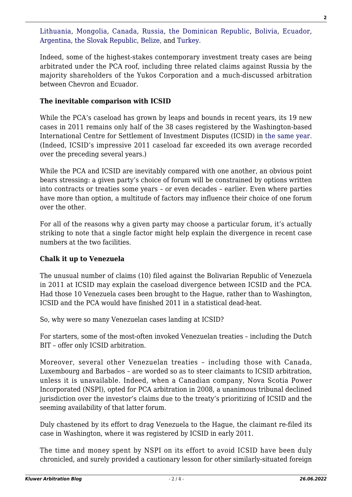[Lithuania,](http://www.pca-cpa.org/showpage.asp?pag_id=1470) [Mongolia](http://www.iareporter.com/articles/20101105_4), [Canada,](http://www.pca-cpa.org/showpage.asp?pag_id=1341) [Russia](http://www.law.com/jsp/law/international/LawArticleIntl.jsp?id=1202436033122&slreturn=20120631222128), [the Dominican Republic](http://www.iareporter.com/articles/20091008_12), [Bolivia](http://www.pca-cpa.org/showpage.asp?pag_id=1436), [Ecuador](http://www.iareporter.com/articles/20120302_1), [Argentina,](http://www.iareporter.com/articles/20120216_5) [the Slovak Republic,](http://www.iareporter.com/articles/20101105_1) [Belize](http://www.iareporter.com/articles/20120105_1), and [Turkey.](http://www.iareporter.com/articles/20100709_6)

Indeed, some of the highest-stakes contemporary investment treaty cases are being arbitrated under the PCA roof, including three related claims against Russia by the majority shareholders of the Yukos Corporation and a much-discussed arbitration between Chevron and Ecuador.

## **The inevitable comparison with ICSID**

While the PCA's caseload has grown by leaps and bounds in recent years, its 19 new cases in 2011 remains only half of the 38 cases registered by the Washington-based International Centre for Settlement of Investment Disputes (ICSID) in [the same year](http://icsid.worldbank.org/ICSID/FrontServlet?requestType=ICSIDDocRH&actionVal=CaseLoadStatistics). (Indeed, ICSID's impressive 2011 caseload far exceeded its own average recorded over the preceding several years.)

While the PCA and ICSID are inevitably compared with one another, an obvious point bears stressing: a given party's choice of forum will be constrained by options written into contracts or treaties some years – or even decades – earlier. Even where parties have more than option, a multitude of factors may influence their choice of one forum over the other.

For all of the reasons why a given party may choose a particular forum, it's actually striking to note that a single factor might help explain the divergence in recent case numbers at the two facilities.

# **Chalk it up to Venezuela**

The unusual number of claims (10) filed against the Bolivarian Republic of Venezuela in 2011 at ICSID may explain the caseload divergence between ICSID and the PCA. Had those 10 Venezuela cases been brought to the Hague, rather than to Washington, ICSID and the PCA would have finished 2011 in a statistical dead-heat.

So, why were so many Venezuelan cases landing at ICSID?

For starters, some of the most-often invoked Venezuelan treaties – including the Dutch BIT – offer only ICSID arbitration.

Moreover, several other Venezuelan treaties – including those with Canada, Luxembourg and Barbados – are worded so as to steer claimants to ICSID arbitration, unless it is unavailable. Indeed, when a Canadian company, Nova Scotia Power Incorporated (NSPI), opted for PCA arbitration in 2008, a unanimous tribunal declined jurisdiction over the investor's claims due to the treaty's prioritizing of ICSID and the seeming availability of that latter forum.

Duly chastened by its effort to drag Venezuela to the Hague, the claimant re-filed its case in Washington, where it was registered by ICSID in early 2011.

The time and money spent by NSPI on its effort to avoid ICSID have been duly chronicled, and surely provided a cautionary lesson for other similarly-situated foreign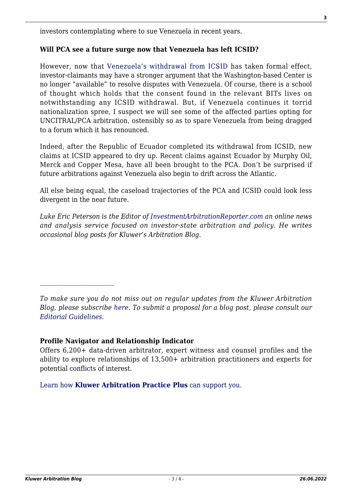investors contemplating where to sue Venezuela in recent years.

#### **Will PCA see a future surge now that Venezuela has left ICSID?**

However, now that [Venezuela's withdrawal from ICSID](http://www.eluniversal.com/nacional-y-politica/120725/venezuelas-withdrawal-from-icsid-is-made-effective) has taken formal effect, investor-claimants may have a stronger argument that the Washington-based Center is no longer "available" to resolve disputes with Venezuela. Of course, there is a school of thought which holds that the consent found in the relevant BITs lives on notwithstanding any ICSID withdrawal. But, if Venezuela continues it torrid nationalization spree, I suspect we will see some of the affected parties opting for UNCITRAL/PCA arbitration, ostensibly so as to spare Venezuela from being dragged to a forum which it has renounced.

Indeed, after the Republic of Ecuador completed its withdrawal from ICSID, new claims at ICSID appeared to dry up. Recent claims against Ecuador by Murphy Oil, Merck and Copper Mesa, have all been brought to the PCA. Don't be surprised if future arbitrations against Venezuela also begin to drift across the Atlantic.

All else being equal, the caseload trajectories of the PCA and ICSID could look less divergent in the near future.

*Luke Eric Peterson is the Editor of [InvestmentArbitrationReporter.com](http://www.investmentarbitrationreporter.com) an online news and analysis service focused on investor-state arbitration and policy. He writes occasional blog posts for Kluwer's Arbitration Blog.*

### **Profile Navigator and Relationship Indicator**

Offers 6,200+ data-driven arbitrator, expert witness and counsel profiles and the ability to explore relationships of 13,500+ arbitration practitioners and experts for potential conflicts of interest.

[Learn how](https://www.wolterskluwer.com/en/solutions/kluwerarbitration/practiceplus?utm_source=arbitrationblog&utm_medium=articleCTA&utm_campaign=article-banner) **[Kluwer Arbitration Practice Plus](https://www.wolterskluwer.com/en/solutions/kluwerarbitration/practiceplus?utm_source=arbitrationblog&utm_medium=articleCTA&utm_campaign=article-banner)** [can support you.](https://www.wolterskluwer.com/en/solutions/kluwerarbitration/practiceplus?utm_source=arbitrationblog&utm_medium=articleCTA&utm_campaign=article-banner)

*To make sure you do not miss out on regular updates from the Kluwer Arbitration Blog, please subscribe [here](http://arbitrationblog.kluwerarbitration.com/newsletter/). To submit a proposal for a blog post, please consult our [Editorial Guidelines.](http://arbitrationblog.kluwerarbitration.com/editorial-guidelines/)*